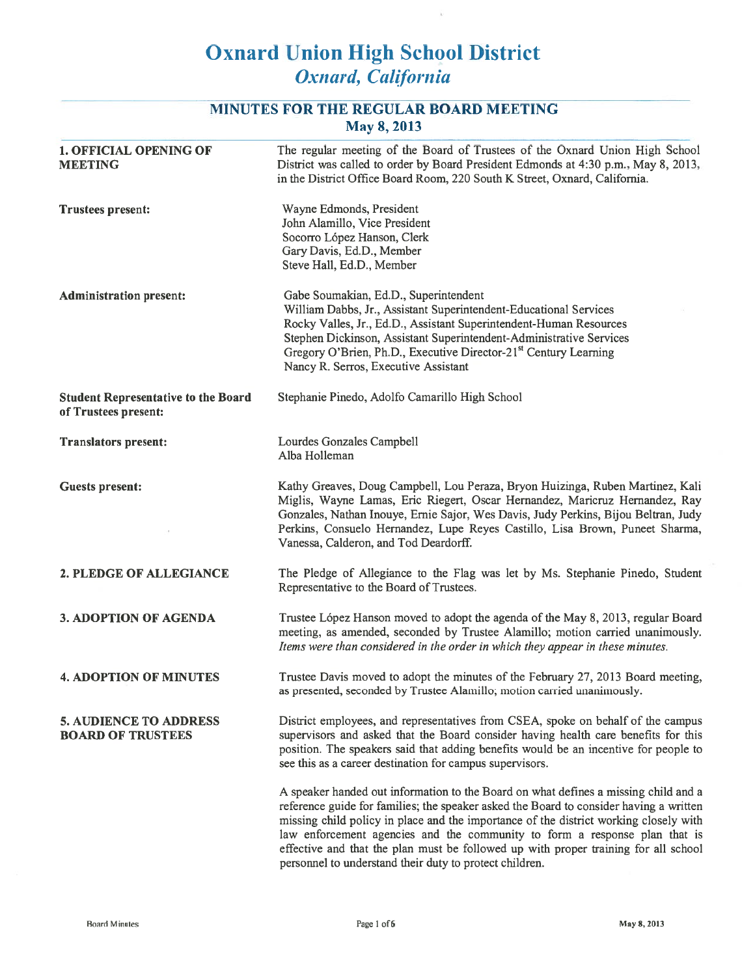# MINUTES FOR THE REGULAR BOARD MEETING May 8, 2013

| <b>1. OFFICIAL OPENING OF</b><br><b>MEETING</b>                    | The regular meeting of the Board of Trustees of the Oxnard Union High School<br>District was called to order by Board President Edmonds at 4:30 p.m., May 8, 2013,<br>in the District Office Board Room, 220 South K Street, Oxnard, California.                                                                                                                                                                                                                                                       |
|--------------------------------------------------------------------|--------------------------------------------------------------------------------------------------------------------------------------------------------------------------------------------------------------------------------------------------------------------------------------------------------------------------------------------------------------------------------------------------------------------------------------------------------------------------------------------------------|
| <b>Trustees present:</b>                                           | Wayne Edmonds, President<br>John Alamillo, Vice President<br>Socorro López Hanson, Clerk<br>Gary Davis, Ed.D., Member<br>Steve Hall, Ed.D., Member                                                                                                                                                                                                                                                                                                                                                     |
| <b>Administration present:</b>                                     | Gabe Soumakian, Ed.D., Superintendent<br>William Dabbs, Jr., Assistant Superintendent-Educational Services<br>Rocky Valles, Jr., Ed.D., Assistant Superintendent-Human Resources<br>Stephen Dickinson, Assistant Superintendent-Administrative Services<br>Gregory O'Brien, Ph.D., Executive Director-21 <sup>st</sup> Century Learning<br>Nancy R. Serros, Executive Assistant                                                                                                                        |
| <b>Student Representative to the Board</b><br>of Trustees present: | Stephanie Pinedo, Adolfo Camarillo High School                                                                                                                                                                                                                                                                                                                                                                                                                                                         |
| <b>Translators present:</b>                                        | Lourdes Gonzales Campbell<br>Alba Holleman                                                                                                                                                                                                                                                                                                                                                                                                                                                             |
| <b>Guests present:</b>                                             | Kathy Greaves, Doug Campbell, Lou Peraza, Bryon Huizinga, Ruben Martinez, Kali<br>Miglis, Wayne Lamas, Eric Riegert, Oscar Hernandez, Maricruz Hernandez, Ray<br>Gonzales, Nathan Inouye, Ernie Sajor, Wes Davis, Judy Perkins, Bijou Beltran, Judy<br>Perkins, Consuelo Hernandez, Lupe Reyes Castillo, Lisa Brown, Puneet Sharma,<br>Vanessa, Calderon, and Tod Deardorff.                                                                                                                           |
| 2. PLEDGE OF ALLEGIANCE                                            | The Pledge of Allegiance to the Flag was let by Ms. Stephanie Pinedo, Student<br>Representative to the Board of Trustees.                                                                                                                                                                                                                                                                                                                                                                              |
| <b>3. ADOPTION OF AGENDA</b>                                       | Trustee López Hanson moved to adopt the agenda of the May 8, 2013, regular Board<br>meeting, as amended, seconded by Trustee Alamillo; motion carried unanimously.<br>Items were than considered in the order in which they appear in these minutes.                                                                                                                                                                                                                                                   |
| <b>4. ADOPTION OF MINUTES</b>                                      | Trustee Davis moved to adopt the minutes of the February 27, 2013 Board meeting,<br>as presented, seconded by Trustee Alamillo; motion carried unanimously.                                                                                                                                                                                                                                                                                                                                            |
| <b>5. AUDIENCE TO ADDRESS</b><br><b>BOARD OF TRUSTEES</b>          | District employees, and representatives from CSEA, spoke on behalf of the campus<br>supervisors and asked that the Board consider having health care benefits for this<br>position. The speakers said that adding benefits would be an incentive for people to<br>see this as a career destination for campus supervisors.                                                                                                                                                                             |
|                                                                    | A speaker handed out information to the Board on what defines a missing child and a<br>reference guide for families; the speaker asked the Board to consider having a written<br>missing child policy in place and the importance of the district working closely with<br>law enforcement agencies and the community to form a response plan that is<br>effective and that the plan must be followed up with proper training for all school<br>personnel to understand their duty to protect children. |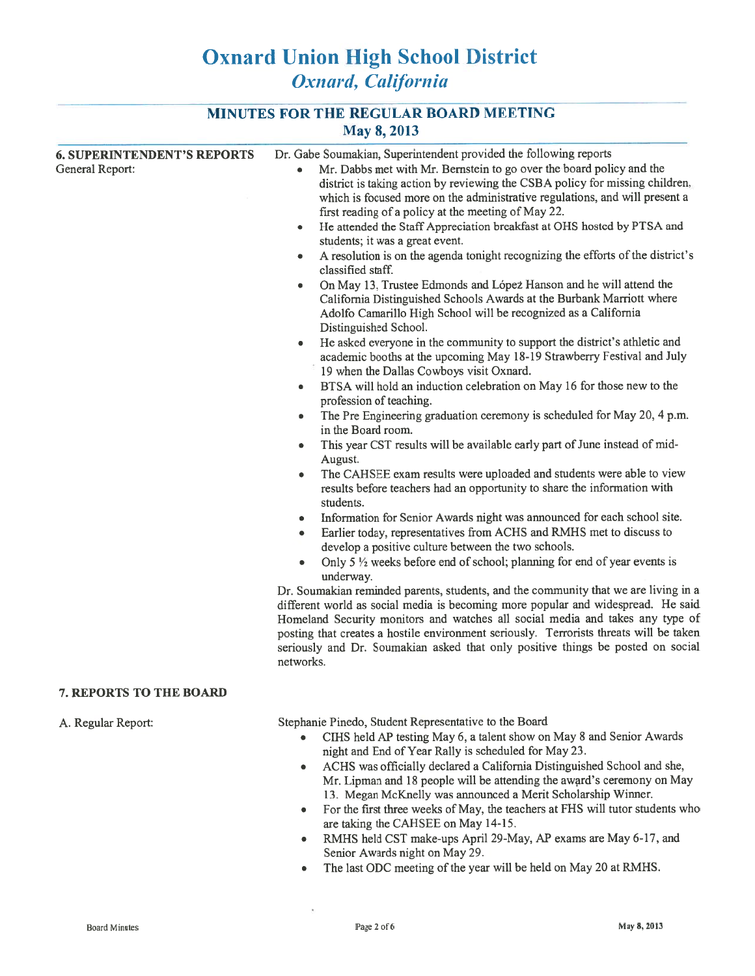|  |             | <b>MINUTES FOR THE REGULAR BOARD MEETING</b> |
|--|-------------|----------------------------------------------|
|  | May 8, 2013 |                                              |

|                                                       | Dr. Gabe Soumakian, Superintendent provided the following reports                                                                                                                                                                                                                                                                                                                                                                                                                                                                                                                                                                                                                                                                                                                                                                                                                                                                                                                                                                                                                                                                                                                                                                                                                                                                                                                                                                                                                                                                                                                                                                                                                                                                                                                                                                                                                                                                                                                                                                                                                                                                                                                                                                                                                             |  |
|-------------------------------------------------------|-----------------------------------------------------------------------------------------------------------------------------------------------------------------------------------------------------------------------------------------------------------------------------------------------------------------------------------------------------------------------------------------------------------------------------------------------------------------------------------------------------------------------------------------------------------------------------------------------------------------------------------------------------------------------------------------------------------------------------------------------------------------------------------------------------------------------------------------------------------------------------------------------------------------------------------------------------------------------------------------------------------------------------------------------------------------------------------------------------------------------------------------------------------------------------------------------------------------------------------------------------------------------------------------------------------------------------------------------------------------------------------------------------------------------------------------------------------------------------------------------------------------------------------------------------------------------------------------------------------------------------------------------------------------------------------------------------------------------------------------------------------------------------------------------------------------------------------------------------------------------------------------------------------------------------------------------------------------------------------------------------------------------------------------------------------------------------------------------------------------------------------------------------------------------------------------------------------------------------------------------------------------------------------------------|--|
| <b>6. SUPERINTENDENT'S REPORTS</b><br>General Report: | Mr. Dabbs met with Mr. Bernstein to go over the board policy and the<br>district is taking action by reviewing the CSBA policy for missing children,<br>which is focused more on the administrative regulations, and will present a<br>first reading of a policy at the meeting of May 22.<br>He attended the Staff Appreciation breakfast at OHS hosted by PTSA and<br>٠<br>students; it was a great event.<br>A resolution is on the agenda tonight recognizing the efforts of the district's<br>classified staff.<br>On May 13, Trustee Edmonds and López Hanson and he will attend the<br>$\bullet$<br>California Distinguished Schools Awards at the Burbank Marriott where<br>Adolfo Camarillo High School will be recognized as a California<br>Distinguished School.<br>He asked everyone in the community to support the district's athletic and<br>$\bullet$<br>academic booths at the upcoming May 18-19 Strawberry Festival and July<br>19 when the Dallas Cowboys visit Oxnard.<br>BTSA will hold an induction celebration on May 16 for those new to the<br>$\bullet$<br>profession of teaching.<br>The Pre Engineering graduation ceremony is scheduled for May 20, 4 p.m.<br>$\bullet$<br>in the Board room.<br>This year CST results will be available early part of June instead of mid-<br>٠<br>August.<br>The CAHSEE exam results were uploaded and students were able to view<br>$\bullet$<br>results before teachers had an opportunity to share the information with<br>students.<br>Information for Senior Awards night was announced for each school site.<br>۰<br>Earlier today, representatives from ACHS and RMHS met to discuss to<br>$\bullet$<br>develop a positive culture between the two schools.<br>Only 5 $\frac{1}{2}$ weeks before end of school; planning for end of year events is<br>$\bullet$<br>underway.<br>Dr. Soumakian reminded parents, students, and the community that we are living in a<br>different world as social media is becoming more popular and widespread. He said<br>Homeland Security monitors and watches all social media and takes any type of<br>posting that creates a hostile environment seriously. Terrorists threats will be taken<br>seriously and Dr. Soumakian asked that only positive things be posted on social |  |
|                                                       | networks.                                                                                                                                                                                                                                                                                                                                                                                                                                                                                                                                                                                                                                                                                                                                                                                                                                                                                                                                                                                                                                                                                                                                                                                                                                                                                                                                                                                                                                                                                                                                                                                                                                                                                                                                                                                                                                                                                                                                                                                                                                                                                                                                                                                                                                                                                     |  |
| <b>7. REPORTS TO THE BOARD</b>                        |                                                                                                                                                                                                                                                                                                                                                                                                                                                                                                                                                                                                                                                                                                                                                                                                                                                                                                                                                                                                                                                                                                                                                                                                                                                                                                                                                                                                                                                                                                                                                                                                                                                                                                                                                                                                                                                                                                                                                                                                                                                                                                                                                                                                                                                                                               |  |
| A. Regular Report:                                    | Stephanie Pinedo, Student Representative to the Board<br>CIHS held AP testing May 6, a talent show on May 8 and Senior Awards<br>night and End of Year Rally is scheduled for May 23.<br>ACHS was officially declared a California Distinguished School and she,<br>$\bullet$<br>Mr. Lipman and 18 people will be attending the award's ceremony on May                                                                                                                                                                                                                                                                                                                                                                                                                                                                                                                                                                                                                                                                                                                                                                                                                                                                                                                                                                                                                                                                                                                                                                                                                                                                                                                                                                                                                                                                                                                                                                                                                                                                                                                                                                                                                                                                                                                                       |  |

- 13. Megan McKnelly was announced a Merit Scholarship Winner. For the first three weeks of May, the teachers at FHS will tutor students who  $\bullet$ are taking the CAHSEE on May 14-15.
- RMHS held CST make-ups April 29-May, AP exams are May 6-17, and  $\bullet$ Senior Awards night on May 29.
- The last ODC meeting of the year will be held on May 20 at RMHS.  $\bullet$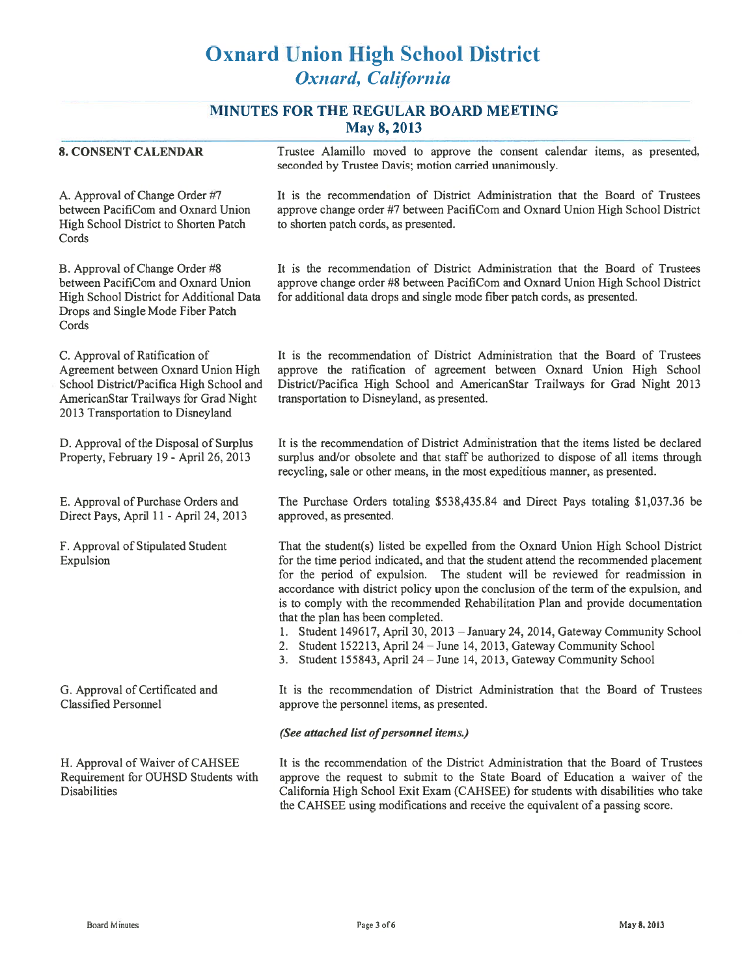## MINUTES FOR THE REGULAR BOARD MEETING May 2, 2012

|                                                                                                                                                                                                 | IVIAY $0, 2013$                                                                                                                                                                                                                                                                                                                                                                                                                                                                                                                                                                                                                                                                                                |
|-------------------------------------------------------------------------------------------------------------------------------------------------------------------------------------------------|----------------------------------------------------------------------------------------------------------------------------------------------------------------------------------------------------------------------------------------------------------------------------------------------------------------------------------------------------------------------------------------------------------------------------------------------------------------------------------------------------------------------------------------------------------------------------------------------------------------------------------------------------------------------------------------------------------------|
| <b>8. CONSENT CALENDAR</b>                                                                                                                                                                      | Trustee Alamillo moved to approve the consent calendar items, as presented,<br>seconded by Trustee Davis; motion carried unanimously.                                                                                                                                                                                                                                                                                                                                                                                                                                                                                                                                                                          |
| A. Approval of Change Order #7<br>between PacifiCom and Oxnard Union<br>High School District to Shorten Patch<br>Cords                                                                          | It is the recommendation of District Administration that the Board of Trustees<br>approve change order #7 between PacifiCom and Oxnard Union High School District<br>to shorten patch cords, as presented.                                                                                                                                                                                                                                                                                                                                                                                                                                                                                                     |
| B. Approval of Change Order #8<br>between PacifiCom and Oxnard Union<br>High School District for Additional Data<br>Drops and Single Mode Fiber Patch<br>Cords                                  | It is the recommendation of District Administration that the Board of Trustees<br>approve change order #8 between PacifiCom and Oxnard Union High School District<br>for additional data drops and single mode fiber patch cords, as presented.                                                                                                                                                                                                                                                                                                                                                                                                                                                                |
| C. Approval of Ratification of<br>Agreement between Oxnard Union High<br>School District/Pacifica High School and<br>AmericanStar Trailways for Grad Night<br>2013 Transportation to Disneyland | It is the recommendation of District Administration that the Board of Trustees<br>approve the ratification of agreement between Oxnard Union High School<br>District/Pacifica High School and AmericanStar Trailways for Grad Night 2013<br>transportation to Disneyland, as presented.                                                                                                                                                                                                                                                                                                                                                                                                                        |
| D. Approval of the Disposal of Surplus<br>Property, February 19 - April 26, 2013                                                                                                                | It is the recommendation of District Administration that the items listed be declared<br>surplus and/or obsolete and that staff be authorized to dispose of all items through<br>recycling, sale or other means, in the most expeditious manner, as presented.                                                                                                                                                                                                                                                                                                                                                                                                                                                 |
| E. Approval of Purchase Orders and<br>Direct Pays, April 11 - April 24, 2013                                                                                                                    | The Purchase Orders totaling \$538,435.84 and Direct Pays totaling \$1,037.36 be<br>approved, as presented.                                                                                                                                                                                                                                                                                                                                                                                                                                                                                                                                                                                                    |
| F. Approval of Stipulated Student<br>Expulsion                                                                                                                                                  | That the student(s) listed be expelled from the Oxnard Union High School District<br>for the time period indicated, and that the student attend the recommended placement<br>for the period of expulsion. The student will be reviewed for readmission in<br>accordance with district policy upon the conclusion of the term of the expulsion, and<br>is to comply with the recommended Rehabilitation Plan and provide documentation<br>that the plan has been completed.<br>1. Student 149617, April 30, 2013 - January 24, 2014, Gateway Community School<br>2. Student 152213, April 24 - June 14, 2013, Gateway Community School<br>3. Student 155843, April 24 - June 14, 2013, Gateway Community School |
| G. Approval of Certificated and<br><b>Classified Personnel</b>                                                                                                                                  | It is the recommendation of District Administration that the Board of Trustees<br>approve the personnel items, as presented.                                                                                                                                                                                                                                                                                                                                                                                                                                                                                                                                                                                   |
|                                                                                                                                                                                                 | (See attached list of personnel items.)                                                                                                                                                                                                                                                                                                                                                                                                                                                                                                                                                                                                                                                                        |
| H. Approval of Waiver of CAHSEE<br>Requirement for OUHSD Students with<br><b>Disabilities</b>                                                                                                   | It is the recommendation of the District Administration that the Board of Trustees<br>approve the request to submit to the State Board of Education a waiver of the<br>California High School Exit Exam (CAHSEE) for students with disabilities who take<br>the CAHSEE using modifications and receive the equivalent of a passing score.                                                                                                                                                                                                                                                                                                                                                                      |
|                                                                                                                                                                                                 |                                                                                                                                                                                                                                                                                                                                                                                                                                                                                                                                                                                                                                                                                                                |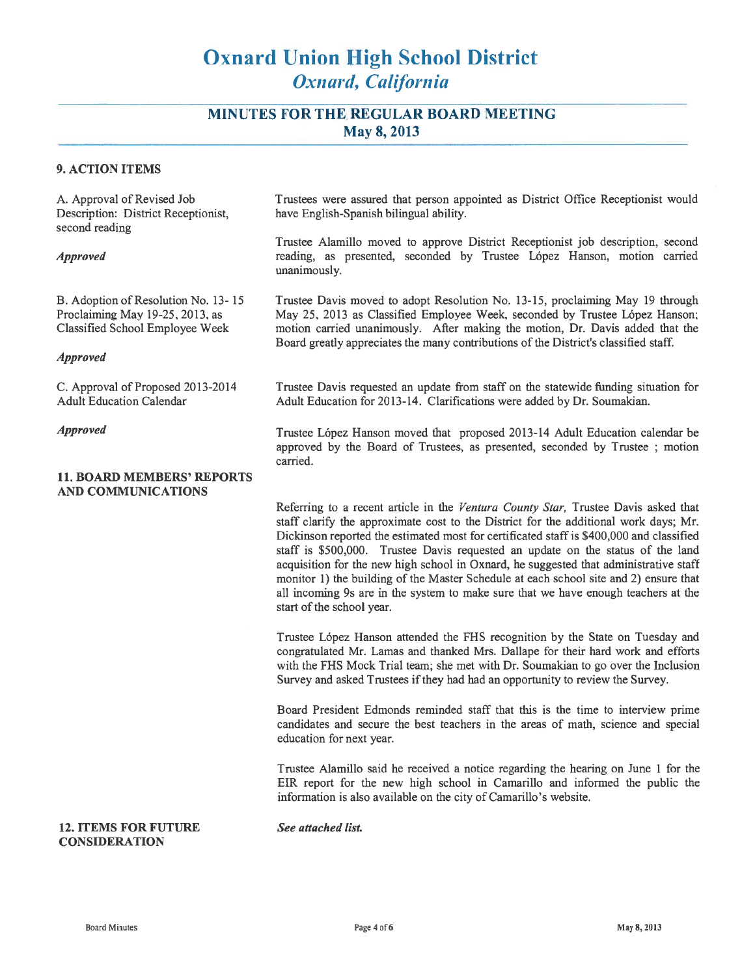## **MINUTES FOR THE REGULAR BOARD MEETING** May 8, 2013

#### **9. ACTION ITEMS**

A. Approval of Revised Job Description: District Receptionist. second reading

#### **Approved**

B. Adoption of Resolution No. 13-15 Proclaiming May 19-25, 2013, as Classified School Employee Week

#### **Approved**

C. Approval of Proposed 2013-2014 **Adult Education Calendar** 

#### **Approved**

### **11. BOARD MEMBERS' REPORTS AND COMMUNICATIONS**

Trustees were assured that person appointed as District Office Receptionist would have English-Spanish bilingual ability.

Trustee Alamillo moved to approve District Receptionist iob description, second reading, as presented, seconded by Trustee López Hanson, motion carried unanimously.

Trustee Davis moved to adopt Resolution No. 13-15, proclaiming May 19 through May 25, 2013 as Classified Employee Week, seconded by Trustee López Hanson; motion carried unanimously. After making the motion, Dr. Davis added that the Board greatly appreciates the many contributions of the District's classified staff.

Trustee Davis requested an update from staff on the statewide funding situation for Adult Education for 2013-14. Clarifications were added by Dr. Soumakian.

Trustee López Hanson moved that proposed 2013-14 Adult Education calendar be approved by the Board of Trustees, as presented, seconded by Trustee ; motion carried.

Referring to a recent article in the Ventura County Star, Trustee Davis asked that staff clarify the approximate cost to the District for the additional work days; Mr. Dickinson reported the estimated most for certificated staff is \$400,000 and classified staff is \$500,000. Trustee Davis requested an update on the status of the land acquisition for the new high school in Oxnard, he suggested that administrative staff monitor 1) the building of the Master Schedule at each school site and 2) ensure that all incoming 9s are in the system to make sure that we have enough teachers at the start of the school year.

Trustee López Hanson attended the FHS recognition by the State on Tuesday and congratulated Mr. Lamas and thanked Mrs. Dallape for their hard work and efforts with the FHS Mock Trial team; she met with Dr. Soumakian to go over the Inclusion Survey and asked Trustees if they had had an opportunity to review the Survey.

Board President Edmonds reminded staff that this is the time to interview prime candidates and secure the best teachers in the areas of math, science and special education for next year.

Trustee Alamillo said he received a notice regarding the hearing on June 1 for the EIR report for the new high school in Camarillo and informed the public the information is also available on the city of Camarillo's website.

**12. ITEMS FOR FUTURE CONSIDERATION** 

See attached list.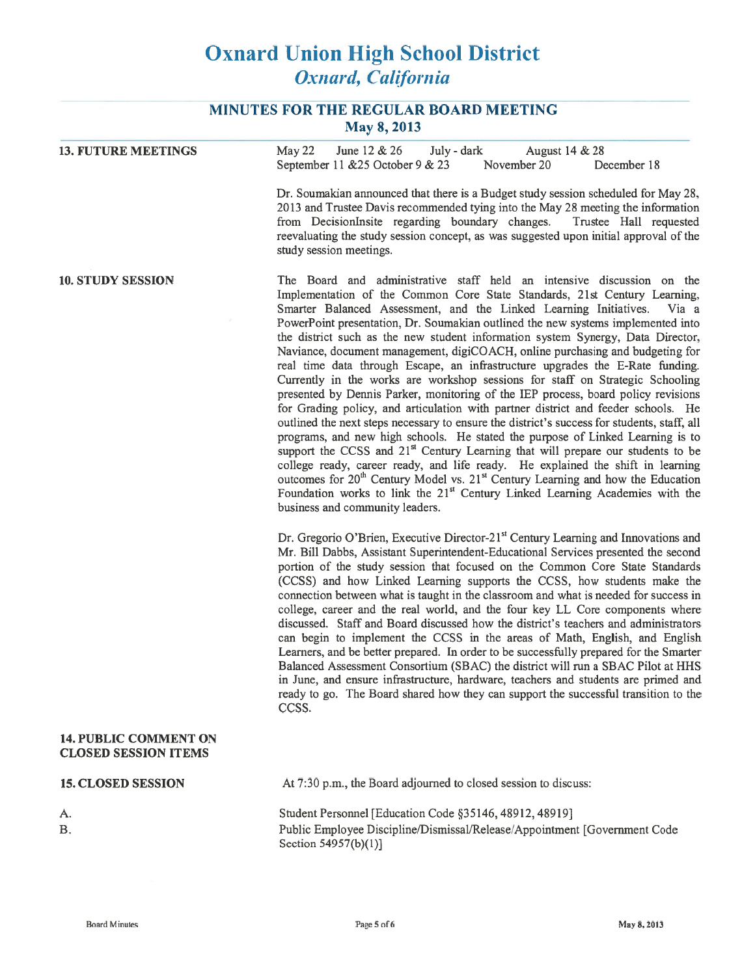## MINUTES FOR THE REGULAR BOARD MEETING May 8, 2013

| <b>13. FUTURE MEETINGS</b>                                  | May 22<br>June 12 $& 26$<br>July - dark<br>August 14 & 28                                                                                                                                                                                                                                                                                                                                                                                                                                                                                                                                                                                                                                                                                                                                                                                                                                                                                                                                                                                                                                                                                                                                                                                                                                                                                                                                                                                          |  |  |
|-------------------------------------------------------------|----------------------------------------------------------------------------------------------------------------------------------------------------------------------------------------------------------------------------------------------------------------------------------------------------------------------------------------------------------------------------------------------------------------------------------------------------------------------------------------------------------------------------------------------------------------------------------------------------------------------------------------------------------------------------------------------------------------------------------------------------------------------------------------------------------------------------------------------------------------------------------------------------------------------------------------------------------------------------------------------------------------------------------------------------------------------------------------------------------------------------------------------------------------------------------------------------------------------------------------------------------------------------------------------------------------------------------------------------------------------------------------------------------------------------------------------------|--|--|
|                                                             | September 11 & 25 October 9 & 23<br>November 20<br>December 18                                                                                                                                                                                                                                                                                                                                                                                                                                                                                                                                                                                                                                                                                                                                                                                                                                                                                                                                                                                                                                                                                                                                                                                                                                                                                                                                                                                     |  |  |
|                                                             | Dr. Soumakian announced that there is a Budget study session scheduled for May 28,<br>2013 and Trustee Davis recommended tying into the May 28 meeting the information<br>from DecisionInsite regarding boundary changes.<br>Trustee Hall requested<br>reevaluating the study session concept, as was suggested upon initial approval of the<br>study session meetings.                                                                                                                                                                                                                                                                                                                                                                                                                                                                                                                                                                                                                                                                                                                                                                                                                                                                                                                                                                                                                                                                            |  |  |
| <b>10. STUDY SESSION</b>                                    | The Board and administrative staff held an intensive discussion on the<br>Implementation of the Common Core State Standards, 21st Century Learning,<br>Smarter Balanced Assessment, and the Linked Learning Initiatives.<br>Via a<br>PowerPoint presentation, Dr. Soumakian outlined the new systems implemented into<br>the district such as the new student information system Synergy, Data Director,<br>Naviance, document management, digiCOACH, online purchasing and budgeting for<br>real time data through Escape, an infrastructure upgrades the E-Rate funding.<br>Currently in the works are workshop sessions for staff on Strategic Schooling<br>presented by Dennis Parker, monitoring of the IEP process, board policy revisions<br>for Grading policy, and articulation with partner district and feeder schools. He<br>outlined the next steps necessary to ensure the district's success for students, staff, all<br>programs, and new high schools. He stated the purpose of Linked Learning is to<br>support the CCSS and 21 <sup>st</sup> Century Learning that will prepare our students to be<br>college ready, career ready, and life ready. He explained the shift in learning<br>outcomes for 20 <sup>th</sup> Century Model vs. 21 <sup>st</sup> Century Learning and how the Education<br>Foundation works to link the 21 <sup>st</sup> Century Linked Learning Academies with the<br>business and community leaders. |  |  |
|                                                             | Dr. Gregorio O'Brien, Executive Director-21 <sup>st</sup> Century Learning and Innovations and<br>Mr. Bill Dabbs, Assistant Superintendent-Educational Services presented the second<br>portion of the study session that focused on the Common Core State Standards<br>(CCSS) and how Linked Learning supports the CCSS, how students make the<br>connection between what is taught in the classroom and what is needed for success in<br>college, career and the real world, and the four key LL Core components where<br>discussed. Staff and Board discussed how the district's teachers and administrators<br>can begin to implement the CCSS in the areas of Math, English, and English<br>Learners, and be better prepared. In order to be successfully prepared for the Smarter<br>Balanced Assessment Consortium (SBAC) the district will run a SBAC Pilot at HHS<br>in June, and ensure infrastructure, hardware, teachers and students are primed and<br>ready to go. The Board shared how they can support the successful transition to the<br>CCSS.                                                                                                                                                                                                                                                                                                                                                                                   |  |  |
| <b>14. PUBLIC COMMENT ON</b><br><b>CLOSED SESSION ITEMS</b> |                                                                                                                                                                                                                                                                                                                                                                                                                                                                                                                                                                                                                                                                                                                                                                                                                                                                                                                                                                                                                                                                                                                                                                                                                                                                                                                                                                                                                                                    |  |  |
| <b>15. CLOSED SESSION</b>                                   | At 7:30 p.m., the Board adjourned to closed session to discuss:                                                                                                                                                                                                                                                                                                                                                                                                                                                                                                                                                                                                                                                                                                                                                                                                                                                                                                                                                                                                                                                                                                                                                                                                                                                                                                                                                                                    |  |  |
| А.                                                          | Student Personnel [Education Code §35146, 48912, 48919]                                                                                                                                                                                                                                                                                                                                                                                                                                                                                                                                                                                                                                                                                                                                                                                                                                                                                                                                                                                                                                                                                                                                                                                                                                                                                                                                                                                            |  |  |
| <b>B.</b>                                                   | Public Employee Discipline/Dismissal/Release/Appointment [Government Code                                                                                                                                                                                                                                                                                                                                                                                                                                                                                                                                                                                                                                                                                                                                                                                                                                                                                                                                                                                                                                                                                                                                                                                                                                                                                                                                                                          |  |  |

Public Employee Discipline/Dismissal/Release/Appointment [Government Code] Section 54957(b)(1)]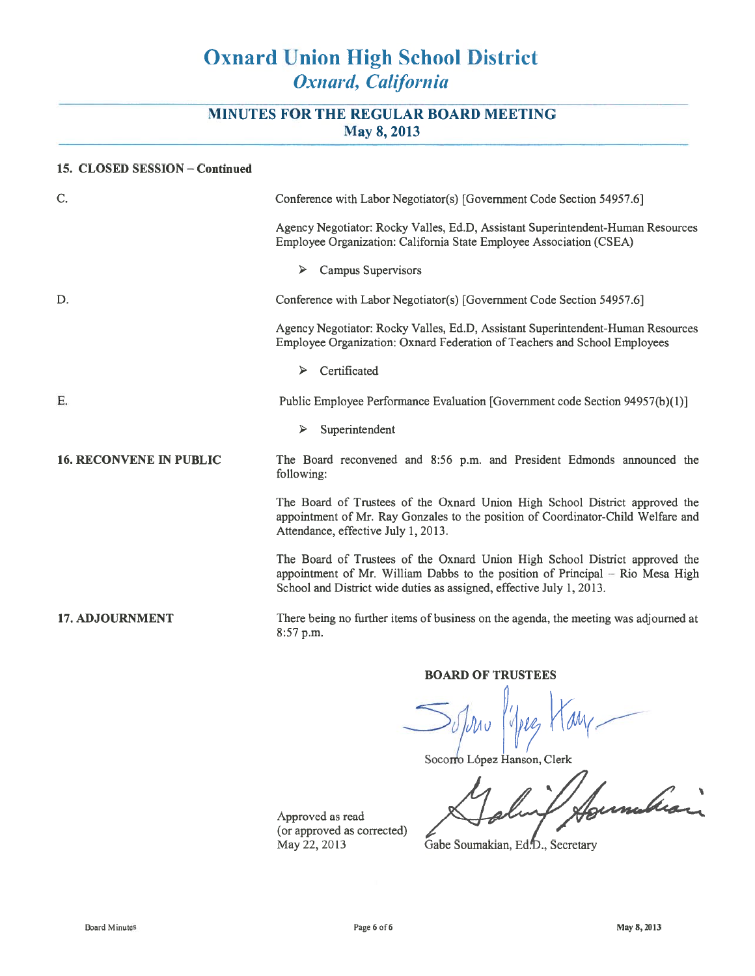## MINUTES FOR THE REGULAR BOARD MEETING May 8, 2013

### 15. CLOSED SESSION - Continued

| C.                             | Conference with Labor Negotiator(s) [Government Code Section 54957.6]                                                                                                                                                                  |  |
|--------------------------------|----------------------------------------------------------------------------------------------------------------------------------------------------------------------------------------------------------------------------------------|--|
|                                | Agency Negotiator: Rocky Valles, Ed.D, Assistant Superintendent-Human Resources<br>Employee Organization: California State Employee Association (CSEA)                                                                                 |  |
|                                | Campus Supervisors<br>⋗                                                                                                                                                                                                                |  |
| D.                             | Conference with Labor Negotiator(s) [Government Code Section 54957.6]                                                                                                                                                                  |  |
|                                | Agency Negotiator: Rocky Valles, Ed.D, Assistant Superintendent-Human Resources<br>Employee Organization: Oxnard Federation of Teachers and School Employees                                                                           |  |
|                                | Certificated<br>➤                                                                                                                                                                                                                      |  |
| Ε.                             | Public Employee Performance Evaluation [Government code Section 94957(b)(1)]                                                                                                                                                           |  |
|                                | Superintendent<br>⋗                                                                                                                                                                                                                    |  |
| <b>16. RECONVENE IN PUBLIC</b> | The Board reconvened and 8:56 p.m. and President Edmonds announced the<br>following:                                                                                                                                                   |  |
|                                | The Board of Trustees of the Oxnard Union High School District approved the<br>appointment of Mr. Ray Gonzales to the position of Coordinator-Child Welfare and<br>Attendance, effective July 1, 2013.                                 |  |
|                                | The Board of Trustees of the Oxnard Union High School District approved the<br>appointment of Mr. William Dabbs to the position of Principal $=$ Rio Mesa High<br>School and District wide duties as assigned, effective July 1, 2013. |  |
| <b>17. ADJOURNMENT</b>         | There being no further items of business on the agenda, the meeting was adjourned at<br>8:57 p.m.                                                                                                                                      |  |
|                                |                                                                                                                                                                                                                                        |  |

### **BOARD OF TRUSTEES**

ЛΛυ  $ML$ 

Socorro López Hanson, Clerk

mbran

Approved as read (or approved as corrected) May 22, 2013

Gabe Soumakian, Ed.D., Secretary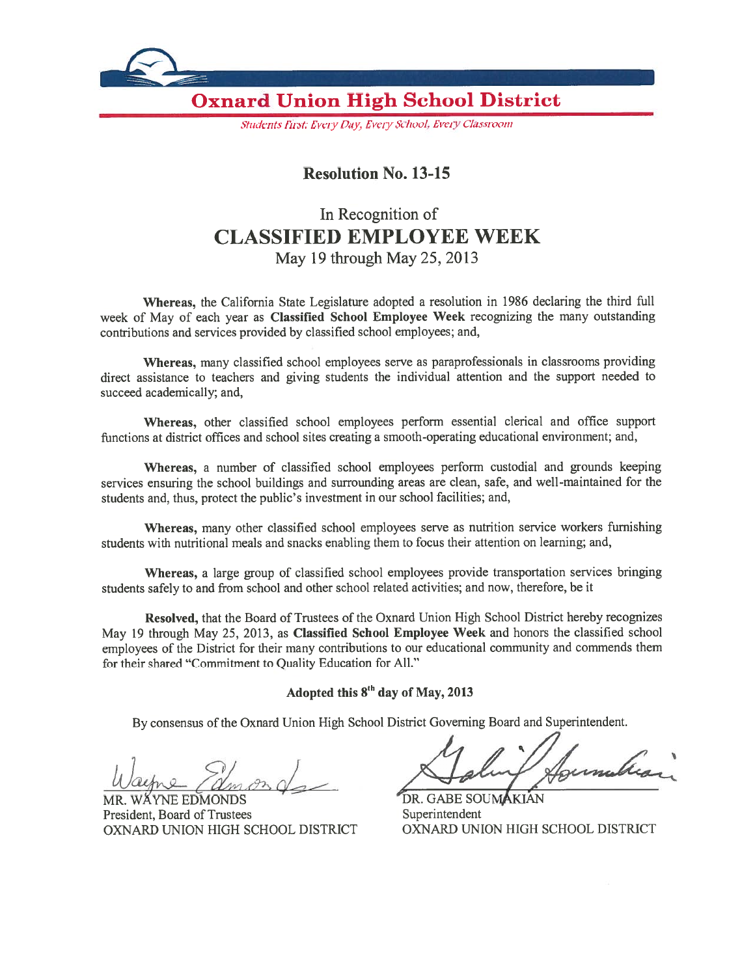

Students First: Every Day, Every School, Every Classroom

## **Resolution No. 13-15**

# In Recognition of **CLASSIFIED EMPLOYEE WEEK** May 19 through May 25, 2013

Whereas, the California State Legislature adopted a resolution in 1986 declaring the third full week of May of each year as Classified School Employee Week recognizing the many outstanding contributions and services provided by classified school employees; and,

Whereas, many classified school employees serve as paraprofessionals in classrooms providing direct assistance to teachers and giving students the individual attention and the support needed to succeed academically; and,

Whereas, other classified school employees perform essential clerical and office support functions at district offices and school sites creating a smooth-operating educational environment; and,

Whereas, a number of classified school employees perform custodial and grounds keeping services ensuring the school buildings and surrounding areas are clean, safe, and well-maintained for the students and, thus, protect the public's investment in our school facilities; and,

Whereas, many other classified school employees serve as nutrition service workers furnishing students with nutritional meals and snacks enabling them to focus their attention on learning; and,

Whereas, a large group of classified school employees provide transportation services bringing students safely to and from school and other school related activities; and now, therefore, be it

Resolved, that the Board of Trustees of the Oxnard Union High School District hereby recognizes May 19 through May 25, 2013, as Classified School Employee Week and honors the classified school employees of the District for their many contributions to our educational community and commends them for their shared "Commitment to Quality Education for All."

### Adopted this 8<sup>th</sup> day of May, 2013

By consensus of the Oxnard Union High School District Governing Board and Superintendent.

**WÄYNE EDMONDS** MR. President, Board of Trustees OXNARD UNION HIGH SCHOOL DISTRICT

DR. GABE SOUMAKIAN Superintendent OXNARD UNION HIGH SCHOOL DISTRICT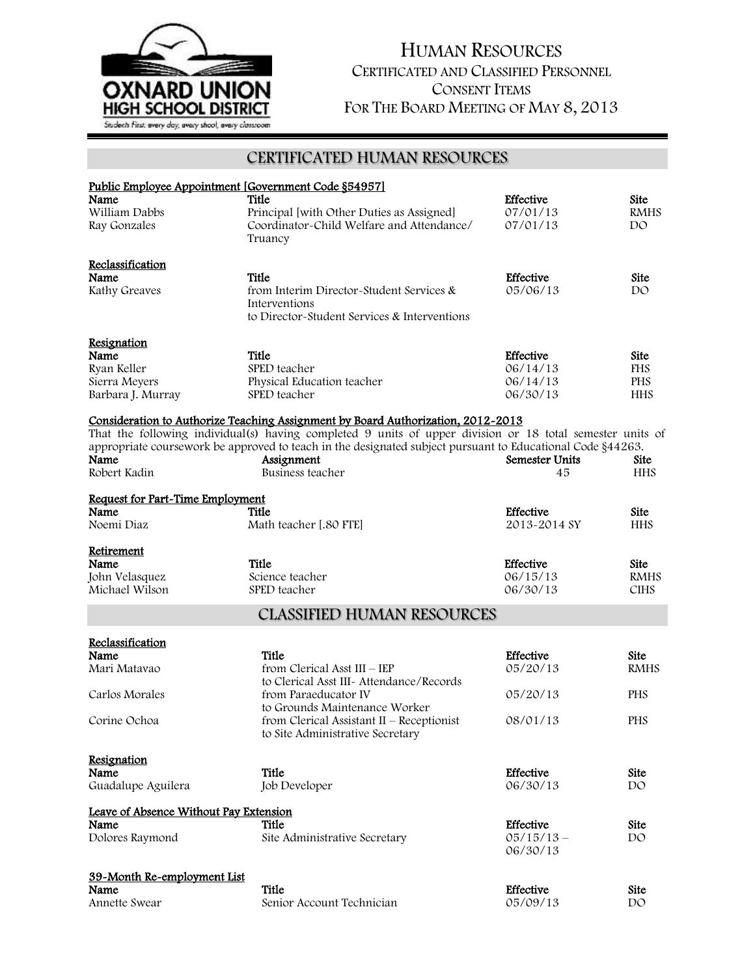

# HUMAN RESOURCES CERTIFICATED AND CLASSIFIED PERSONNEL CONSENT ITEMS FOR THE BOARD MEETING OF MAY 8, 2013

## CERTIFICATED HUMAN RESOURCES

| Public Employee Appointment [Government Code §54957]<br>Name | Title                                                                                                      | Effective             | <b>Site</b>                |
|--------------------------------------------------------------|------------------------------------------------------------------------------------------------------------|-----------------------|----------------------------|
| William Dabbs                                                | Principal [with Other Duties as Assigned]                                                                  | 07/01/13              | <b>RMHS</b>                |
| Ray Gonzales                                                 | Coordinator-Child Welfare and Attendance/<br>Truancy                                                       | 07/01/13              | DO                         |
| Reclassification                                             |                                                                                                            |                       |                            |
| Name                                                         | Title                                                                                                      | Effective             | <b>Site</b>                |
| Kathy Greaves                                                | from Interim Director-Student Services &<br>Interventions                                                  | 05/06/13              | DO.                        |
|                                                              | to Director-Student Services & Interventions                                                               |                       |                            |
| Resignation                                                  |                                                                                                            |                       |                            |
| Name                                                         | Title                                                                                                      | <b>Effective</b>      | Site                       |
| Ryan Keller                                                  | SPED teacher                                                                                               | 06/14/13              | <b>FHS</b>                 |
| Sierra Meyers                                                | Physical Education teacher                                                                                 | 06/14/13              | <b>PHS</b>                 |
| Barbara J. Murray                                            | SPED teacher                                                                                               | 06/30/13              | <b>HHS</b>                 |
|                                                              | <u>Consideration to Authorize Teaching Assignment by Board Authorization, 2012-2013</u>                    |                       |                            |
|                                                              | That the following individual(s) having completed 9 units of upper division or 18 total semester units of  |                       |                            |
|                                                              | appropriate coursework be approved to teach in the designated subject pursuant to Educational Code §44263. |                       |                            |
| Name                                                         | Assignment                                                                                                 | <b>Semester Units</b> | Site                       |
| Robert Kadin                                                 | Business teacher                                                                                           | 45                    | <b>HHS</b>                 |
| Request for Part-Time Employment<br>Name                     |                                                                                                            | Effective             | <b>Site</b>                |
|                                                              | Title                                                                                                      |                       |                            |
| Noemi Diaz                                                   | Math teacher [.80 FTE]                                                                                     | 2013-2014 SY          | <b>HHS</b>                 |
| Retirement                                                   |                                                                                                            |                       |                            |
| Name                                                         | Title                                                                                                      | Effective             | Site                       |
| John Velasquez                                               | Science teacher                                                                                            | 06/15/13              | <b>RMHS</b>                |
| Michael Wilson                                               | SPED teacher                                                                                               | 06/30/13              | <b>CIHS</b>                |
|                                                              | <b>CLASSIFIED HUMAN RESOURCES</b>                                                                          |                       |                            |
|                                                              |                                                                                                            |                       |                            |
| Reclassification<br>Name                                     | Title                                                                                                      |                       |                            |
| Mari Matavao                                                 | from Clerical Asst III - IEP                                                                               | Effective<br>05/20/13 | <b>Site</b><br><b>RMHS</b> |
|                                                              | to Clerical Asst III- Attendance/Records                                                                   |                       |                            |
| Carlos Morales                                               | from Paraeducator IV                                                                                       | 05/20/13              | <b>PHS</b>                 |
|                                                              | to Grounds Maintenance Worker                                                                              |                       |                            |
| Corine Ochoa                                                 | from Clerical Assistant II $-$ Receptionist                                                                | 08/01/13              | <b>PHS</b>                 |
|                                                              | to Site Administrative Secretary                                                                           |                       |                            |
|                                                              |                                                                                                            |                       |                            |
| Resignation                                                  |                                                                                                            |                       |                            |
| Name                                                         | Title                                                                                                      | Effective             | Site                       |
| Guadalupe Aguilera                                           | Job Developer                                                                                              | 06/30/13              | DO                         |
| Leave of Absence Without Pay Extension                       |                                                                                                            |                       |                            |
| Name                                                         | Title                                                                                                      | <b>Effective</b>      | Site                       |
| Dolores Raymond                                              | Site Administrative Secretary                                                                              | $05/15/13 -$          | DO                         |
|                                                              |                                                                                                            | 06/30/13              |                            |
|                                                              |                                                                                                            |                       |                            |
| 39-Month Re-employment List                                  | Title                                                                                                      | Effective             |                            |
| Name<br>Annette Swear                                        | Senior Account Technician                                                                                  | 05/09/13              | Site<br>DO                 |
|                                                              |                                                                                                            |                       |                            |